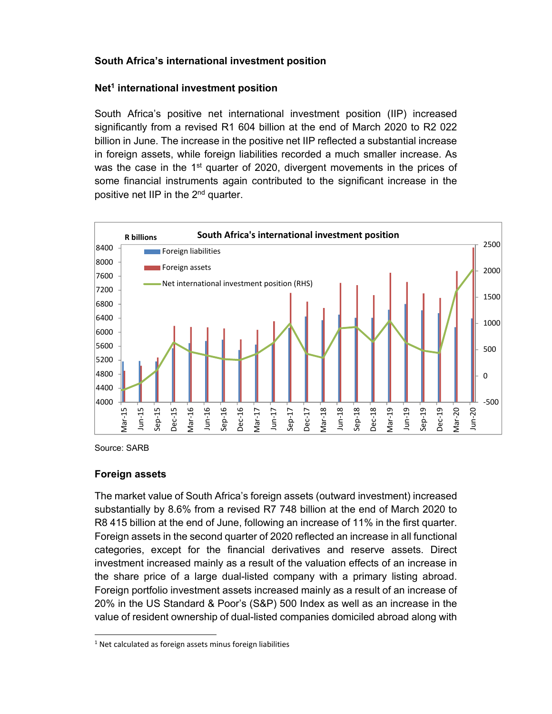# **South Africa's international investment position**

# **Net1 international investment position**

South Africa's positive net international investment position (IIP) increased significantly from a revised R1 604 billion at the end of March 2020 to R2 022 billion in June. The increase in the positive net IIP reflected a substantial increase in foreign assets, while foreign liabilities recorded a much smaller increase. As was the case in the  $1<sup>st</sup>$  quarter of 2020, divergent movements in the prices of some financial instruments again contributed to the significant increase in the positive net IIP in the 2nd quarter.



Source: SARB

# **Foreign assets**

The market value of South Africa's foreign assets (outward investment) increased substantially by 8.6% from a revised R7 748 billion at the end of March 2020 to R8 415 billion at the end of June, following an increase of 11% in the first quarter. Foreign assets in the second quarter of 2020 reflected an increase in all functional categories, except for the financial derivatives and reserve assets. Direct investment increased mainly as a result of the valuation effects of an increase in the share price of a large dual-listed company with a primary listing abroad. Foreign portfolio investment assets increased mainly as a result of an increase of 20% in the US Standard & Poor's (S&P) 500 Index as well as an increase in the value of resident ownership of dual-listed companies domiciled abroad along with

l  $1$  Net calculated as foreign assets minus foreign liabilities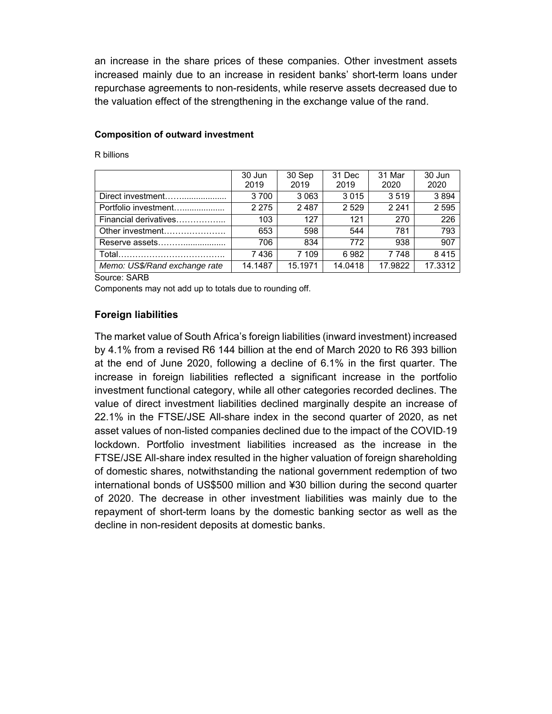an increase in the share prices of these companies. Other investment assets increased mainly due to an increase in resident banks' short-term loans under repurchase agreements to non-residents, while reserve assets decreased due to the valuation effect of the strengthening in the exchange value of the rand.

#### **Composition of outward investment**

R billions

|                               | 30 Jun<br>2019 | 30 Sep<br>2019 | 31 Dec<br>2019 | 31 Mar<br>2020 | 30 Jun<br>2020 |
|-------------------------------|----------------|----------------|----------------|----------------|----------------|
| Direct investment             | 3700           | 3 0 6 3        | 3015           | 3519           | 3894           |
| Portfolio investment          | 2 2 7 5        | 2487           | 2529           | 2 2 4 1        | 2 5 9 5        |
| Financial derivatives         | 103            | 127            | 121            | 270            | 226            |
| Other investment              | 653            | 598            | 544            | 781            | 793            |
| Reserve assets                | 706            | 834            | 772            | 938            | 907            |
|                               | 7436           | 7 109          | 6982           | 7 748          | 8415           |
| Memo: US\$/Rand exchange rate | 14.1487        | 15.1971        | 14.0418        | 17.9822        | 17.3312        |

Source: SARB

Components may not add up to totals due to rounding off.

## **Foreign liabilities**

The market value of South Africa's foreign liabilities (inward investment) increased by 4.1% from a revised R6 144 billion at the end of March 2020 to R6 393 billion at the end of June 2020, following a decline of 6.1% in the first quarter. The increase in foreign liabilities reflected a significant increase in the portfolio investment functional category, while all other categories recorded declines. The value of direct investment liabilities declined marginally despite an increase of 22.1% in the FTSE/JSE All-share index in the second quarter of 2020, as net asset values of non-listed companies declined due to the impact of the COVID-19 lockdown. Portfolio investment liabilities increased as the increase in the FTSE/JSE All-share index resulted in the higher valuation of foreign shareholding of domestic shares, notwithstanding the national government redemption of two international bonds of US\$500 million and ¥30 billion during the second quarter of 2020. The decrease in other investment liabilities was mainly due to the repayment of short-term loans by the domestic banking sector as well as the decline in non-resident deposits at domestic banks.